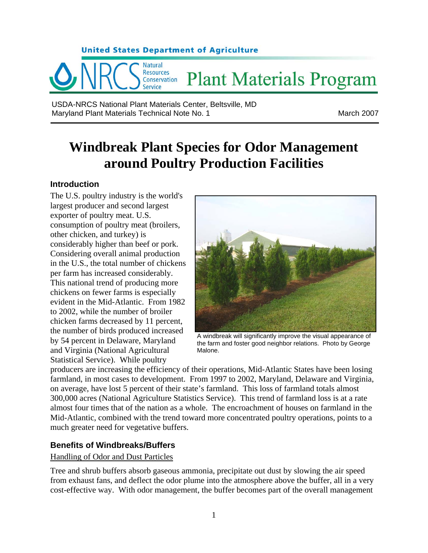

USDA-NRCS National Plant Materials Center, Beltsville, MD Maryland Plant Materials Technical Note No. 1 Maryland Plant March 2007

# **Windbreak Plant Species for Odor Management around Poultry Production Facilities**

## **Introduction**

The U.S. poultry industry is the world's largest producer and second largest exporter of poultry meat. U.S. consumption of poultry meat (broilers, other chicken, and turkey) is considerably higher than beef or pork. Considering overall animal production in the U.S., the total number of chickens per farm has increased considerably. This national trend of producing more chickens on fewer farms is especially evident in the Mid-Atlantic. From 1982 to 2002, while the number of broiler chicken farms decreased by 11 percent, the number of birds produced increased by 54 percent in Delaware, Maryland and Virginia (National Agricultural Statistical Service). While poultry



A windbreak will significantly improve the visual appearance of the farm and foster good neighbor relations. Photo by George Malone.

producers are increasing the efficiency of their operations, Mid-Atlantic States have been losing farmland, in most cases to development. From 1997 to 2002, Maryland, Delaware and Virginia, on average, have lost 5 percent of their state's farmland. This loss of farmland totals almost 300,000 acres (National Agriculture Statistics Service). This trend of farmland loss is at a rate almost four times that of the nation as a whole. The encroachment of houses on farmland in the Mid-Atlantic, combined with the trend toward more concentrated poultry operations, points to a much greater need for vegetative buffers.

# **Benefits of Windbreaks/Buffers**

## Handling of Odor and Dust Particles

Tree and shrub buffers absorb gaseous ammonia, precipitate out dust by slowing the air speed from exhaust fans, and deflect the odor plume into the atmosphere above the buffer, all in a very cost-effective way. With odor management, the buffer becomes part of the overall management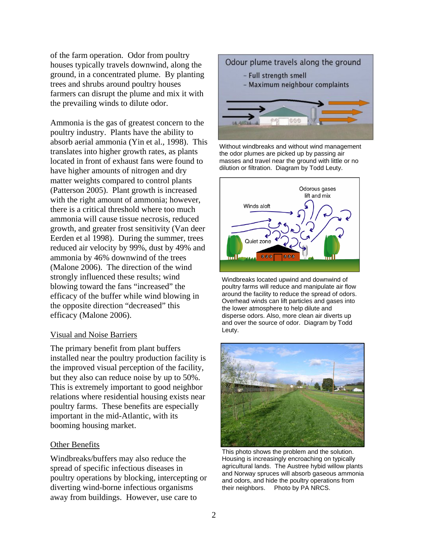of the farm operation. Odor from poultry houses typically travels downwind, along the ground, in a concentrated plume. By planting trees and shrubs around poultry houses farmers can disrupt the plume and mix it with the prevailing winds to dilute odor.

Ammonia is the gas of greatest concern to the poultry industry. Plants have the ability to absorb aerial ammonia (Yin et al., 1998). This translates into higher growth rates, as plants located in front of exhaust fans were found to have higher amounts of nitrogen and dry matter weights compared to control plants (Patterson 2005). Plant growth is increased with the right amount of ammonia; however, there is a critical threshold where too much ammonia will cause tissue necrosis, reduced growth, and greater frost sensitivity (Van deer Eerden et al 1998). During the summer, trees reduced air velocity by 99%, dust by 49% and ammonia by 46% downwind of the trees (Malone 2006). The direction of the wind strongly influenced these results; wind blowing toward the fans "increased" the efficacy of the buffer while wind blowing in the opposite direction "decreased" this efficacy (Malone 2006).

#### Visual and Noise Barriers

The primary benefit from plant buffers installed near the poultry production facility is the improved visual perception of the facility, but they also can reduce noise by up to 50%. This is extremely important to good neighbor relations where residential housing exists near poultry farms. These benefits are especially important in the mid-Atlantic, with its booming housing market.

#### Other Benefits

Windbreaks/buffers may also reduce the spread of specific infectious diseases in poultry operations by blocking, intercepting or diverting wind-borne infectious organisms away from buildings. However, use care to



Without windbreaks and without wind management the odor plumes are picked up by passing air masses and travel near the ground with little or no dilution or filtration. Diagram by Todd Leuty.



Windbreaks located upwind and downwind of poultry farms will reduce and manipulate air flow around the facility to reduce the spread of odors. Overhead winds can lift particles and gases into the lower atmosphere to help dilute and disperse odors. Also, more clean air diverts up and over the source of odor. Diagram by Todd Leuty.



This photo shows the problem and the solution. Housing is increasingly encroaching on typically agricultural lands. The Austree hybid willow plants and Norway spruces will absorb gaseous ammonia and odors, and hide the poultry operations from their neighbors. Photo by PA NRCS.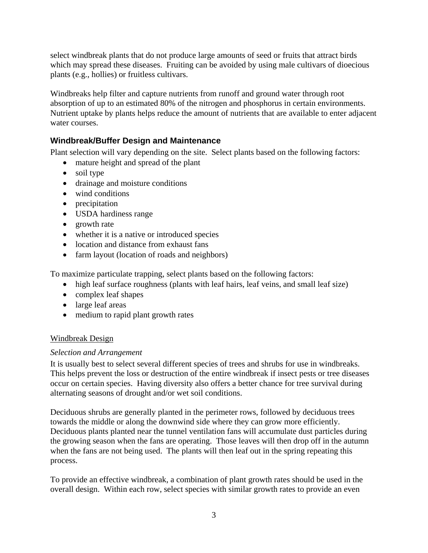select windbreak plants that do not produce large amounts of seed or fruits that attract birds which may spread these diseases. Fruiting can be avoided by using male cultivars of dioecious plants (e.g., hollies) or fruitless cultivars.

Windbreaks help filter and capture nutrients from runoff and ground water through root absorption of up to an estimated 80% of the nitrogen and phosphorus in certain environments. Nutrient uptake by plants helps reduce the amount of nutrients that are available to enter adjacent water courses.

# **Windbreak/Buffer Design and Maintenance**

Plant selection will vary depending on the site. Select plants based on the following factors:

- mature height and spread of the plant
- soil type
- drainage and moisture conditions
- wind conditions
- precipitation
- USDA hardiness range
- growth rate
- whether it is a native or introduced species
- location and distance from exhaust fans
- farm layout (location of roads and neighbors)

To maximize particulate trapping, select plants based on the following factors:

- high leaf surface roughness (plants with leaf hairs, leaf veins, and small leaf size)
- complex leaf shapes
- large leaf areas
- medium to rapid plant growth rates

## Windbreak Design

## *Selection and Arrangement*

It is usually best to select several different species of trees and shrubs for use in windbreaks. This helps prevent the loss or destruction of the entire windbreak if insect pests or tree diseases occur on certain species. Having diversity also offers a better chance for tree survival during alternating seasons of drought and/or wet soil conditions.

Deciduous shrubs are generally planted in the perimeter rows, followed by deciduous trees towards the middle or along the downwind side where they can grow more efficiently. Deciduous plants planted near the tunnel ventilation fans will accumulate dust particles during the growing season when the fans are operating. Those leaves will then drop off in the autumn when the fans are not being used. The plants will then leaf out in the spring repeating this process.

To provide an effective windbreak, a combination of plant growth rates should be used in the overall design. Within each row, select species with similar growth rates to provide an even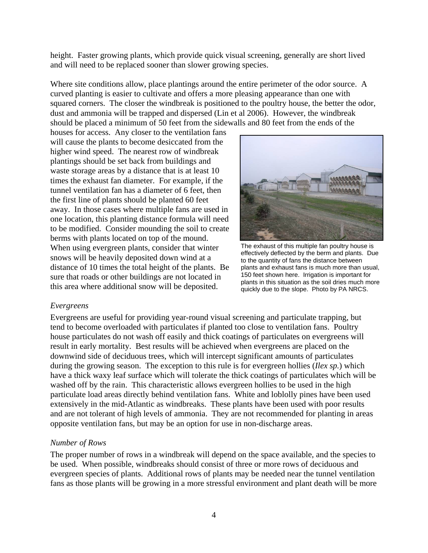height. Faster growing plants, which provide quick visual screening, generally are short lived and will need to be replaced sooner than slower growing species.

Where site conditions allow, place plantings around the entire perimeter of the odor source. A curved planting is easier to cultivate and offers a more pleasing appearance than one with squared corners. The closer the windbreak is positioned to the poultry house, the better the odor, dust and ammonia will be trapped and dispersed (Lin et al 2006). However, the windbreak should be placed a minimum of 50 feet from the sidewalls and 80 feet from the ends of the

houses for access. Any closer to the ventilation fans will cause the plants to become desiccated from the higher wind speed. The nearest row of windbreak plantings should be set back from buildings and waste storage areas by a distance that is at least 10 times the exhaust fan diameter. For example, if the tunnel ventilation fan has a diameter of 6 feet, then the first line of plants should be planted 60 feet away. In those cases where multiple fans are used in one location, this planting distance formula will need to be modified. Consider mounding the soil to create berms with plants located on top of the mound. When using evergreen plants, consider that winter snows will be heavily deposited down wind at a distance of 10 times the total height of the plants. Be sure that roads or other buildings are not located in this area where additional snow will be deposited.



The exhaust of this multiple fan poultry house is effectively deflected by the berm and plants. Due to the quantity of fans the distance between plants and exhaust fans is much more than usual, 150 feet shown here. Irrigation is important for plants in this situation as the soil dries much more quickly due to the slope. Photo by PA NRCS.

#### *Evergreens*

Evergreens are useful for providing year-round visual screening and particulate trapping, but tend to become overloaded with particulates if planted too close to ventilation fans. Poultry house particulates do not wash off easily and thick coatings of particulates on evergreens will result in early mortality. Best results will be achieved when evergreens are placed on the downwind side of deciduous trees, which will intercept significant amounts of particulates during the growing season. The exception to this rule is for evergreen hollies (*Ilex sp.*) which have a thick waxy leaf surface which will tolerate the thick coatings of particulates which will be washed off by the rain. This characteristic allows evergreen hollies to be used in the high particulate load areas directly behind ventilation fans. White and loblolly pines have been used extensively in the mid-Atlantic as windbreaks. These plants have been used with poor results and are not tolerant of high levels of ammonia. They are not recommended for planting in areas opposite ventilation fans, but may be an option for use in non-discharge areas.

#### *Number of Rows*

The proper number of rows in a windbreak will depend on the space available, and the species to be used. When possible, windbreaks should consist of three or more rows of deciduous and evergreen species of plants. Additional rows of plants may be needed near the tunnel ventilation fans as those plants will be growing in a more stressful environment and plant death will be more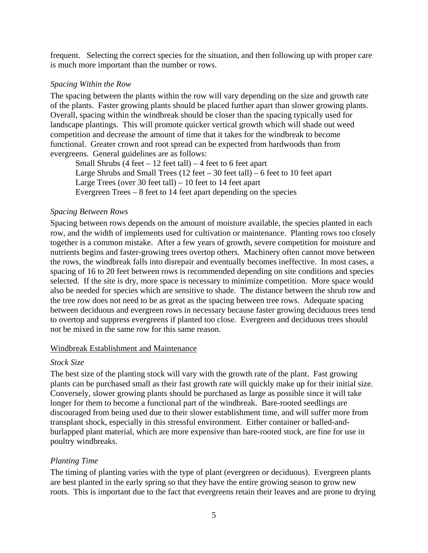frequent. Selecting the correct species for the situation, and then following up with proper care is much more important than the number or rows.

#### *Spacing Within the Row*

The spacing between the plants within the row will vary depending on the size and growth rate of the plants. Faster growing plants should be placed further apart than slower growing plants. Overall, spacing within the windbreak should be closer than the spacing typically used for landscape plantings. This will promote quicker vertical growth which will shade out weed competition and decrease the amount of time that it takes for the windbreak to become functional. Greater crown and root spread can be expected from hardwoods than from evergreens. General guidelines are as follows:

Small Shrubs  $(4 \text{ feet} - 12 \text{ feet tall}) - 4 \text{ feet to 6 feet apart}$ Large Shrubs and Small Trees  $(12 \text{ feet} - 30 \text{ feet tall}) - 6 \text{ feet to } 10 \text{ feet apart}$ Large Trees (over 30 feet tall) – 10 feet to 14 feet apart Evergreen Trees – 8 feet to 14 feet apart depending on the species

#### *Spacing Between Rows*

Spacing between rows depends on the amount of moisture available, the species planted in each row, and the width of implements used for cultivation or maintenance. Planting rows too closely together is a common mistake. After a few years of growth, severe competition for moisture and nutrients begins and faster-growing trees overtop others. Machinery often cannot move between the rows, the windbreak falls into disrepair and eventually becomes ineffective. In most cases, a spacing of 16 to 20 feet between rows is recommended depending on site conditions and species selected. If the site is dry, more space is necessary to minimize competition. More space would also be needed for species which are sensitive to shade. The distance between the shrub row and the tree row does not need to be as great as the spacing between tree rows. Adequate spacing between deciduous and evergreen rows in necessary because faster growing deciduous trees tend to overtop and suppress evergreens if planted too close. Evergreen and deciduous trees should not be mixed in the same row for this same reason.

#### Windbreak Establishment and Maintenance

#### *Stock Size*

The best size of the planting stock will vary with the growth rate of the plant. Fast growing plants can be purchased small as their fast growth rate will quickly make up for their initial size. Conversely, slower growing plants should be purchased as large as possible since it will take longer for them to become a functional part of the windbreak. Bare-rooted seedlings are discouraged from being used due to their slower establishment time, and will suffer more from transplant shock, especially in this stressful environment. Either container or balled-andburlapped plant material, which are more expensive than bare-rooted stock, are fine for use in poultry windbreaks.

#### *Planting Time*

The timing of planting varies with the type of plant (evergreen or deciduous). Evergreen plants are best planted in the early spring so that they have the entire growing season to grow new roots. This is important due to the fact that evergreens retain their leaves and are prone to drying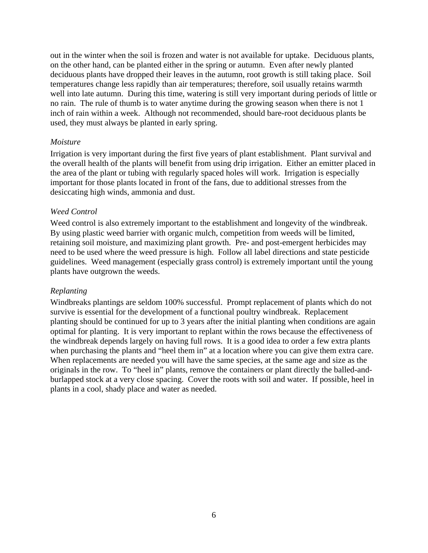out in the winter when the soil is frozen and water is not available for uptake. Deciduous plants, on the other hand, can be planted either in the spring or autumn. Even after newly planted deciduous plants have dropped their leaves in the autumn, root growth is still taking place. Soil temperatures change less rapidly than air temperatures; therefore, soil usually retains warmth well into late autumn. During this time, watering is still very important during periods of little or no rain. The rule of thumb is to water anytime during the growing season when there is not 1 inch of rain within a week. Although not recommended, should bare-root deciduous plants be used, they must always be planted in early spring.

#### *Moisture*

Irrigation is very important during the first five years of plant establishment. Plant survival and the overall health of the plants will benefit from using drip irrigation. Either an emitter placed in the area of the plant or tubing with regularly spaced holes will work. Irrigation is especially important for those plants located in front of the fans, due to additional stresses from the desiccating high winds, ammonia and dust.

#### *Weed Control*

Weed control is also extremely important to the establishment and longevity of the windbreak. By using plastic weed barrier with organic mulch, competition from weeds will be limited, retaining soil moisture, and maximizing plant growth. Pre- and post-emergent herbicides may need to be used where the weed pressure is high. Follow all label directions and state pesticide guidelines. Weed management (especially grass control) is extremely important until the young plants have outgrown the weeds.

#### *Replanting*

Windbreaks plantings are seldom 100% successful. Prompt replacement of plants which do not survive is essential for the development of a functional poultry windbreak. Replacement planting should be continued for up to 3 years after the initial planting when conditions are again optimal for planting. It is very important to replant within the rows because the effectiveness of the windbreak depends largely on having full rows. It is a good idea to order a few extra plants when purchasing the plants and "heel them in" at a location where you can give them extra care. When replacements are needed you will have the same species, at the same age and size as the originals in the row. To "heel in" plants, remove the containers or plant directly the balled-andburlapped stock at a very close spacing. Cover the roots with soil and water. If possible, heel in plants in a cool, shady place and water as needed.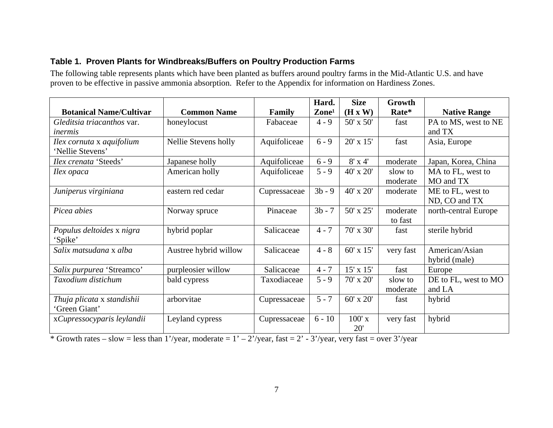## **Table 1. Proven Plants for Windbreaks/Buffers on Poultry Production Farms**

The following table represents plants which have been planted as buffers around poultry farms in the Mid-Atlantic U.S. and have proven to be effective in passive ammonia absorption. Refer to the Appendix for information on Hardiness Zones.

|                                   |                       |              | Hard.             | <b>Size</b>      | Growth    |                      |
|-----------------------------------|-----------------------|--------------|-------------------|------------------|-----------|----------------------|
| <b>Botanical Name/Cultivar</b>    | <b>Common Name</b>    | Family       | $\mathbf{Zone}^1$ | (H x W)          | Rate*     | <b>Native Range</b>  |
| <i>Gleditsia triacanthos var.</i> | honeylocust           | Fabaceae     | $4 - 9$           | $50' \times 50'$ | fast      | PA to MS, west to NE |
| inermis                           |                       |              |                   |                  |           | and TX               |
| Ilex cornuta x aquifolium         | Nellie Stevens holly  | Aquifoliceae | $6 - 9$           | $20' \times 15'$ | fast      | Asia, Europe         |
| 'Nellie Stevens'                  |                       |              |                   |                  |           |                      |
| <i>Ilex crenata 'Steeds'</i>      | Japanese holly        | Aquifoliceae | $6 - 9$           | $8'$ x 4'        | moderate  | Japan, Korea, China  |
| Ilex opaca                        | American holly        | Aquifoliceae | $5 - 9$           | 40' x 20'        | slow to   | MA to FL, west to    |
|                                   |                       |              |                   |                  | moderate  | MO and TX            |
| Juniperus virginiana              | eastern red cedar     | Cupressaceae | $3b - 9$          | 40' x 20'        | moderate  | ME to FL, west to    |
|                                   |                       |              |                   |                  |           | ND, CO and TX        |
| Picea abies                       | Norway spruce         | Pinaceae     | $3b - 7$          | 50' x 25'        | moderate  | north-central Europe |
|                                   |                       |              |                   |                  | to fast   |                      |
| Populus deltoides x nigra         | hybrid poplar         | Salicaceae   | $4 - 7$           | 70' x 30'        | fast      | sterile hybrid       |
| 'Spike'                           |                       |              |                   |                  |           |                      |
| Salix matsudana x alba            | Austree hybrid willow | Salicaceae   | $4 - 8$           | $60' \times 15'$ | very fast | American/Asian       |
|                                   |                       |              |                   |                  |           | hybrid (male)        |
| Salix purpurea 'Streamco'         | purpleosier willow    | Salicaceae   | $4 - 7$           | $15' \times 15'$ | fast      | Europe               |
| Taxodium distichum                | bald cypress          | Taxodiaceae  | $5 - 9$           | $70'$ x $20'$    | slow to   | DE to FL, west to MO |
|                                   |                       |              |                   |                  | moderate  | and LA               |
| Thuja plicata x standishii        | arborvitae            | Cupressaceae | $5 - 7$           | $60' \times 20'$ | fast      | hybrid               |
| 'Green Giant'                     |                       |              |                   |                  |           |                      |
| xCupressocyparis leylandii        | Leyland cypress       | Cupressaceae | $6 - 10$          | $100'$ x         | very fast | hybrid               |
|                                   |                       |              |                   | 20'              |           |                      |

 $*\text{Growth rates} - \text{slow} = \text{less than } 1\text{'year}, \text{moderate} = 1\text{'} - 2\text{'year}, \text{fast} = 2\text{'} - 3\text{'year}, \text{very fast} = \text{over } 3\text{'year}$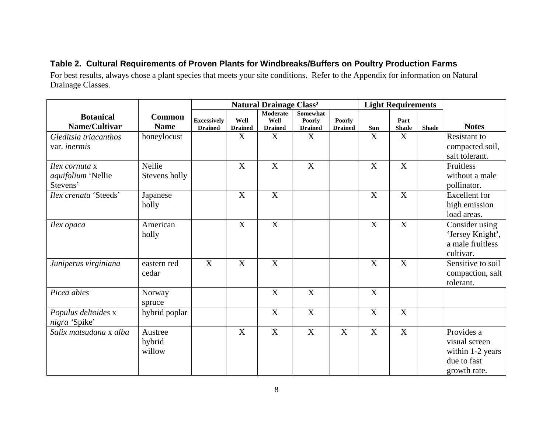# **Table 2. Cultural Requirements of Proven Plants for Windbreaks/Buffers on Poultry Production Farms**

For best results, always chose a plant species that meets your site conditions. Refer to the Appendix for information on Natural Drainage Classes.

|                           |               |                    | <b>Natural Drainage Class<sup>2</sup></b> |                  |                           | <b>Light Requirements</b> |     |                           |              |                      |
|---------------------------|---------------|--------------------|-------------------------------------------|------------------|---------------------------|---------------------------|-----|---------------------------|--------------|----------------------|
| <b>Botanical</b>          | <b>Common</b> | <b>Excessively</b> | Well                                      | Moderate<br>Well | Somewhat<br><b>Poorly</b> | Poorly                    |     | Part                      |              |                      |
| Name/Cultivar             | <b>Name</b>   | <b>Drained</b>     | <b>Drained</b>                            | <b>Drained</b>   | <b>Drained</b>            | <b>Drained</b>            | Sun | <b>Shade</b>              | <b>Shade</b> | <b>Notes</b>         |
| Gleditsia triacanthos     | honeylocust   |                    | X                                         | X                | X                         |                           | X   | X                         |              | <b>Resistant</b> to  |
| var. inermis              |               |                    |                                           |                  |                           |                           |     |                           |              | compacted soil,      |
|                           |               |                    |                                           |                  |                           |                           |     |                           |              | salt tolerant.       |
| Ilex cornuta x            | Nellie        |                    | $\boldsymbol{\mathrm{X}}$                 | X                | X                         |                           | X   | $\boldsymbol{\mathrm{X}}$ |              | Fruitless            |
| <i>aquifolium</i> 'Nellie | Stevens holly |                    |                                           |                  |                           |                           |     |                           |              | without a male       |
| Stevens'                  |               |                    |                                           |                  |                           |                           |     |                           |              | pollinator.          |
| Ilex crenata 'Steeds'     | Japanese      |                    | X                                         | X                |                           |                           | X   | X                         |              | <b>Excellent</b> for |
|                           | holly         |                    |                                           |                  |                           |                           |     |                           |              | high emission        |
|                           |               |                    |                                           |                  |                           |                           |     |                           |              | load areas.          |
| <i>Hex opaca</i>          | American      |                    | X                                         | X                |                           |                           | X   | X                         |              | Consider using       |
|                           | holly         |                    |                                           |                  |                           |                           |     |                           |              | 'Jersey Knight',     |
|                           |               |                    |                                           |                  |                           |                           |     |                           |              | a male fruitless     |
|                           |               |                    |                                           |                  |                           |                           |     |                           |              | cultivar.            |
| Juniperus virginiana      | eastern red   | X                  | X                                         | X                |                           |                           | X   | X                         |              | Sensitive to soil    |
|                           | cedar         |                    |                                           |                  |                           |                           |     |                           |              | compaction, salt     |
|                           |               |                    |                                           |                  |                           |                           |     |                           |              | tolerant.            |
| Picea abies               | Norway        |                    |                                           | X                | X                         |                           | X   |                           |              |                      |
|                           | spruce        |                    |                                           |                  |                           |                           |     |                           |              |                      |
| Populus deltoides x       | hybrid poplar |                    |                                           | X                | X                         |                           | X   | X                         |              |                      |
| nigra 'Spike'             |               |                    |                                           |                  |                           |                           |     |                           |              |                      |
| Salix matsudana x alba    | Austree       |                    | X                                         | X                | X                         | X                         | X   | X                         |              | Provides a           |
|                           | hybrid        |                    |                                           |                  |                           |                           |     |                           |              | visual screen        |
|                           | willow        |                    |                                           |                  |                           |                           |     |                           |              | within 1-2 years     |
|                           |               |                    |                                           |                  |                           |                           |     |                           |              | due to fast          |
|                           |               |                    |                                           |                  |                           |                           |     |                           |              | growth rate.         |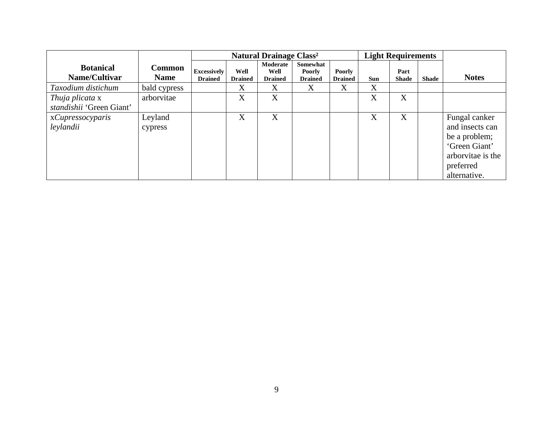|                                             |                              |                                      |                        | <b>Natural Drainage Class<sup>2</sup></b> |                                             |                          | <b>Light Requirements</b> |                      |              |                                                                                                                      |
|---------------------------------------------|------------------------------|--------------------------------------|------------------------|-------------------------------------------|---------------------------------------------|--------------------------|---------------------------|----------------------|--------------|----------------------------------------------------------------------------------------------------------------------|
| <b>Botanical</b><br>Name/Cultivar           | <b>Common</b><br><b>Name</b> | <b>Excessively</b><br><b>Drained</b> | Well<br><b>Drained</b> | Moderate<br>Well<br><b>Drained</b>        | Somewhat<br><b>Poorly</b><br><b>Drained</b> | Poorly<br><b>Drained</b> | Sun                       | Part<br><b>Shade</b> | <b>Shade</b> | <b>Notes</b>                                                                                                         |
| Taxodium distichum                          | bald cypress                 |                                      | X                      | X                                         | X                                           | X                        | X                         |                      |              |                                                                                                                      |
| Thuja plicata x<br>standishii 'Green Giant' | arborvitae                   |                                      | X                      | X                                         |                                             |                          | X                         | X                    |              |                                                                                                                      |
| xCupressocyparis<br>leylandii               | Leyland<br>cypress           |                                      | X                      | X                                         |                                             |                          | X                         | X                    |              | Fungal canker<br>and insects can<br>be a problem;<br>'Green Giant'<br>arborvitae is the<br>preferred<br>alternative. |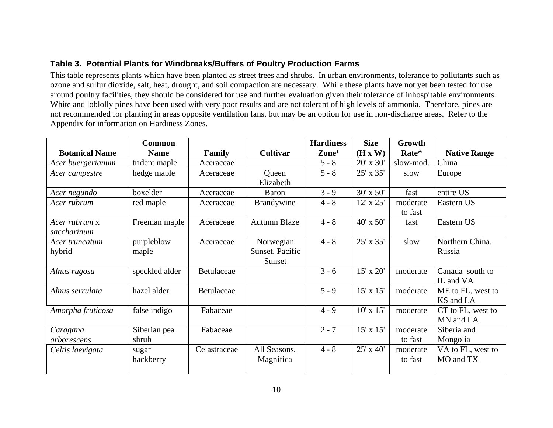# **Table 3. Potential Plants for Windbreaks/Buffers of Poultry Production Farms**

This table represents plants which have been planted as street trees and shrubs. In urban environments, tolerance to pollutants such as ozone and sulfur dioxide, salt, heat, drought, and soil compaction are necessary. While these plants have not yet been tested for use around poultry facilities, they should be considered for use and further evaluation given their tolerance of inhospitable environments. White and loblolly pines have been used with very poor results and are not tolerant of high levels of ammonia. Therefore, pines are not recommended for planting in areas opposite ventilation fans, but may be an option for use in non-discharge areas. Refer to the Appendix for information on Hardiness Zones.

|                       | <b>Common</b>  |              |                   | <b>Hardiness</b>  | <b>Size</b>      | Growth    |                     |
|-----------------------|----------------|--------------|-------------------|-------------------|------------------|-----------|---------------------|
| <b>Botanical Name</b> | <b>Name</b>    | Family       | <b>Cultivar</b>   | $\mathbf{Zone}^1$ | (H x W)          | Rate*     | <b>Native Range</b> |
| Acer buergerianum     | trident maple  | Aceraceae    |                   | $5 - 8$           | 20' x 30'        | slow-mod. | China               |
| Acer campestre        | hedge maple    | Aceraceae    | Queen             | $5 - 8$           | 25' x 35'        | slow      | Europe              |
|                       |                |              | Elizabeth         |                   |                  |           |                     |
| Acer negundo          | boxelder       | Aceraceae    | Baron             | $3 - 9$           | 30' x 50'        | fast      | entire US           |
| Acer rubrum           | red maple      | Aceraceae    | <b>Brandywine</b> | $4 - 8$           | 12' x 25'        | moderate  | Eastern US          |
|                       |                |              |                   |                   |                  | to fast   |                     |
| Acer rubrum x         | Freeman maple  | Aceraceae    | Autumn Blaze      | $4 - 8$           | $40'$ x $50'$    | fast      | Eastern US          |
| saccharinum           |                |              |                   |                   |                  |           |                     |
| Acer truncatum        | purpleblow     | Aceraceae    | Norwegian         | $4 - 8$           | 25' x 35'        | slow      | Northern China,     |
| hybrid                | maple          |              | Sunset, Pacific   |                   |                  |           | Russia              |
|                       |                |              | Sunset            |                   |                  |           |                     |
| Alnus rugosa          | speckled alder | Betulaceae   |                   | $3 - 6$           | 15' x 20'        | moderate  | Canada south to     |
|                       |                |              |                   |                   |                  |           | IL and VA           |
| Alnus serrulata       | hazel alder    | Betulaceae   |                   | $5 - 9$           | 15' x 15'        | moderate  | ME to FL, west to   |
|                       |                |              |                   |                   |                  |           | KS and LA           |
| Amorpha fruticosa     | false indigo   | Fabaceae     |                   | $4 - 9$           | $10' \times 15'$ | moderate  | CT to FL, west to   |
|                       |                |              |                   |                   |                  |           | MN and LA           |
| Caragana              | Siberian pea   | Fabaceae     |                   | $2 - 7$           | 15' x 15'        | moderate  | Siberia and         |
| arborescens           | shrub          |              |                   |                   |                  | to fast   | Mongolia            |
| Celtis laevigata      | sugar          | Celastraceae | All Seasons,      | $4 - 8$           | 25' x 40'        | moderate  | VA to FL, west to   |
|                       | hackberry      |              | Magnifica         |                   |                  | to fast   | MO and TX           |
|                       |                |              |                   |                   |                  |           |                     |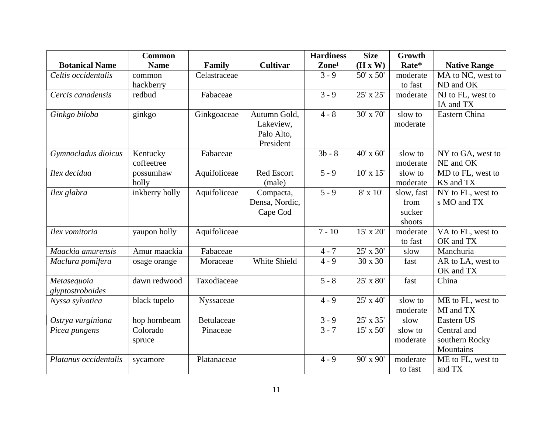|                       | <b>Common</b>  |              |                   | <b>Hardiness</b>  | <b>Size</b>      | Growth     |                     |
|-----------------------|----------------|--------------|-------------------|-------------------|------------------|------------|---------------------|
| <b>Botanical Name</b> | <b>Name</b>    | Family       | <b>Cultivar</b>   | Zone <sup>1</sup> | (H x W)          | Rate*      | <b>Native Range</b> |
| Celtis occidentalis   | common         | Celastraceae |                   | $3 - 9$           | 50' x 50'        | moderate   | MA to NC, west to   |
|                       | hackberry      |              |                   |                   |                  | to fast    | ND and OK           |
| Cercis canadensis     | redbud         | Fabaceae     |                   | $3 - 9$           | 25' x 25'        | moderate   | NJ to FL, west to   |
|                       |                |              |                   |                   |                  |            | IA and TX           |
| Ginkgo biloba         | ginkgo         | Ginkgoaceae  | Autumn Gold,      | $4 - 8$           | 30' x 70'        | slow to    | Eastern China       |
|                       |                |              | Lakeview,         |                   |                  | moderate   |                     |
|                       |                |              | Palo Alto,        |                   |                  |            |                     |
|                       |                |              | President         |                   |                  |            |                     |
| Gymnocladus dioicus   | Kentucky       | Fabaceae     |                   | $3b - 8$          | 40' x 60'        | slow to    | NY to GA, west to   |
|                       | coffeetree     |              |                   |                   |                  | moderate   | NE and OK           |
| Ilex decidua          | possumhaw      | Aquifoliceae | <b>Red Escort</b> | $5 - 9$           | $10' \times 15'$ | slow to    | MD to FL, west to   |
|                       | holly          |              | (male)            |                   |                  | moderate   | KS and TX           |
| Ilex glabra           | inkberry holly | Aquifoliceae | Compacta,         | $5 - 9$           | $8' \times 10'$  | slow, fast | NY to FL, west to   |
|                       |                |              | Densa, Nordic,    |                   |                  | from       | s MO and TX         |
|                       |                |              | Cape Cod          |                   |                  | sucker     |                     |
|                       |                |              |                   |                   |                  | shoots     |                     |
| Ilex vomitoria        | yaupon holly   | Aquifoliceae |                   | $7 - 10$          | 15' x 20'        | moderate   | VA to FL, west to   |
|                       |                |              |                   |                   |                  | to fast    | OK and TX           |
| Maackia amurensis     | Amur maackia   | Fabaceae     |                   | $4 - 7$           | 25' x 30'        | slow       | Manchuria           |
| Maclura pomifera      | osage orange   | Moraceae     | White Shield      | $4 - 9$           | 30 x 30          | fast       | AR to LA, west to   |
|                       |                |              |                   |                   |                  |            | OK and TX           |
| Metasequoia           | dawn redwood   | Taxodiaceae  |                   | $5 - 8$           | 25' x 80'        | fast       | China               |
| glyptostroboides      |                |              |                   |                   |                  |            |                     |
| Nyssa sylvatica       | black tupelo   | Nyssaceae    |                   | $4 - 9$           | 25' x 40'        | slow to    | ME to FL, west to   |
|                       |                |              |                   |                   |                  | moderate   | MI and TX           |
| Ostrya vurginiana     | hop hornbeam   | Betulaceae   |                   | $3 - 9$           | 25' x 35'        | slow       | Eastern US          |
| Picea pungens         | Colorado       | Pinaceae     |                   | $3 - 7$           | 15' x 50'        | slow to    | Central and         |
|                       | spruce         |              |                   |                   |                  | moderate   | southern Rocky      |
|                       |                |              |                   |                   |                  |            | Mountains           |
| Platanus occidentalis | sycamore       | Platanaceae  |                   | $4 - 9$           | 90' x 90'        | moderate   | ME to FL, west to   |
|                       |                |              |                   |                   |                  | to fast    | and TX              |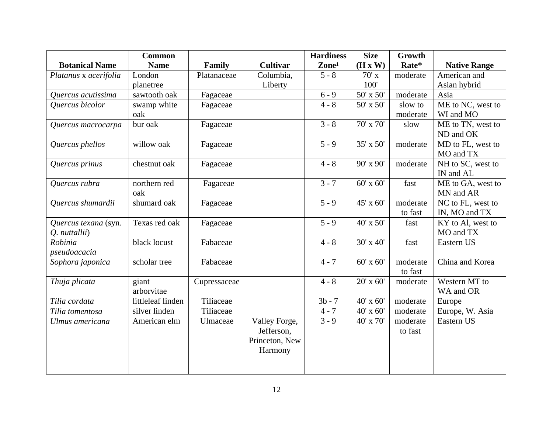|                       | <b>Common</b>     |              |                 | <b>Hardiness</b>   | <b>Size</b>   | Growth   |                     |
|-----------------------|-------------------|--------------|-----------------|--------------------|---------------|----------|---------------------|
| <b>Botanical Name</b> | <b>Name</b>       | Family       | <b>Cultivar</b> | Zone <sup>1</sup>  | (H x W)       | Rate*    | <b>Native Range</b> |
| Platanus x acerifolia | London            | Platanaceae  | Columbia,       | $5 - 8$            | $70'$ x       | moderate | American and        |
|                       | planetree         |              | Liberty         |                    | 100'          |          | Asian hybrid        |
| Quercus acutissima    | sawtooth oak      | Fagaceae     |                 | $6 - 9$            | 50' x 50'     | moderate | Asia                |
| Quercus bicolor       | swamp white       | Fagaceae     |                 | $4 - 8$            | 50' x 50'     | slow to  | ME to NC, west to   |
|                       | oak               |              |                 |                    |               | moderate | WI and MO           |
| Quercus macrocarpa    | bur oak           | Fagaceae     |                 | $3 - 8$            | 70' x 70'     | slow     | ME to TN, west to   |
|                       |                   |              |                 |                    |               |          | ND and OK           |
| Quercus phellos       | willow oak        | Fagaceae     |                 | $\overline{5} - 9$ | 35' x 50'     | moderate | MD to FL, west to   |
|                       |                   |              |                 |                    |               |          | MO and TX           |
| Quercus prinus        | chestnut oak      | Fagaceae     |                 | $4 - 8$            | 90' x 90'     | moderate | NH to SC, west to   |
|                       |                   |              |                 |                    |               |          | IN and AL           |
| Quercus rubra         | northern red      | Fagaceae     |                 | $3 - 7$            | 60' x 60'     | fast     | ME to GA, west to   |
|                       | oak               |              |                 |                    |               |          | MN and AR           |
| Quercus shumardii     | shumard oak       | Fagaceae     |                 | $\overline{5} - 9$ | 45' x 60'     | moderate | NC to FL, west to   |
|                       |                   |              |                 |                    |               | to fast  | IN, MO and TX       |
| Quercus texana (syn.  | Texas red oak     | Fagaceae     |                 | $5 - 9$            | 40' x 50'     | fast     | KY to Al, west to   |
| Q. nuttallii)         |                   |              |                 |                    |               |          | MO and TX           |
| Robinia               | black locust      | Fabaceae     |                 | $4 - 8$            | 30' x 40'     | fast     | Eastern US          |
| pseudoacacia          |                   |              |                 |                    |               |          |                     |
| Sophora japonica      | scholar tree      | Fabaceae     |                 | $4 - 7$            | $60'$ x $60'$ | moderate | China and Korea     |
|                       |                   |              |                 |                    |               | to fast  |                     |
| Thuja plicata         | giant             | Cupressaceae |                 | $4 - 8$            | $20'$ x 60'   | moderate | Western MT to       |
|                       | arborvitae        |              |                 |                    |               |          | WA and OR           |
| Tilia cordata         | littleleaf linden | Tiliaceae    |                 | $3b - 7$           | 40' x 60'     | moderate | Europe              |
| Tilia tomentosa       | silver linden     | Tiliaceae    |                 | $4 - 7$            | 40' x 60'     | moderate | Europe, W. Asia     |
| Ulmus americana       | American elm      | Ulmaceae     | Valley Forge,   | $3 - 9$            | 40' x 70'     | moderate | Eastern US          |
|                       |                   |              | Jefferson,      |                    |               | to fast  |                     |
|                       |                   |              | Princeton, New  |                    |               |          |                     |
|                       |                   |              | Harmony         |                    |               |          |                     |
|                       |                   |              |                 |                    |               |          |                     |
|                       |                   |              |                 |                    |               |          |                     |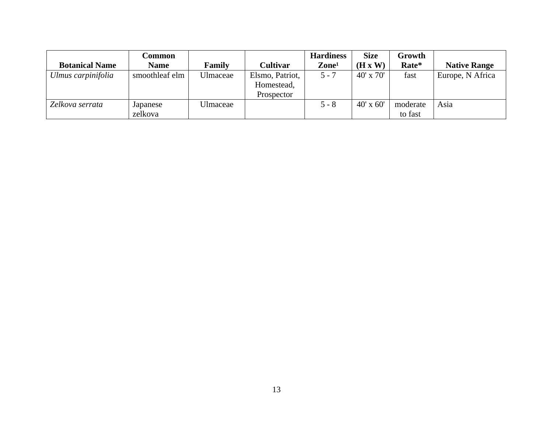|                       | Common         |          |                 | <b>Hardiness</b> | <b>Size</b>      | Growth   |                     |
|-----------------------|----------------|----------|-----------------|------------------|------------------|----------|---------------------|
| <b>Botanical Name</b> | <b>Name</b>    | Family   | <b>Cultivar</b> | $\bf{Zone^1}$    | (H x W)          | Rate*    | <b>Native Range</b> |
| Ulmus carpinifolia    | smoothleaf elm | Ulmaceae | Elsmo, Patriot, | $5 - 7$          | $40' \times 70'$ | fast     | Europe, N Africa    |
|                       |                |          | Homestead,      |                  |                  |          |                     |
|                       |                |          | Prospector      |                  |                  |          |                     |
| Zelkova serrata       | Japanese       | Ulmaceae |                 | $5 - 8$          | $40' \times 60'$ | moderate | Asia                |
|                       | zelkova        |          |                 |                  |                  | to fast  |                     |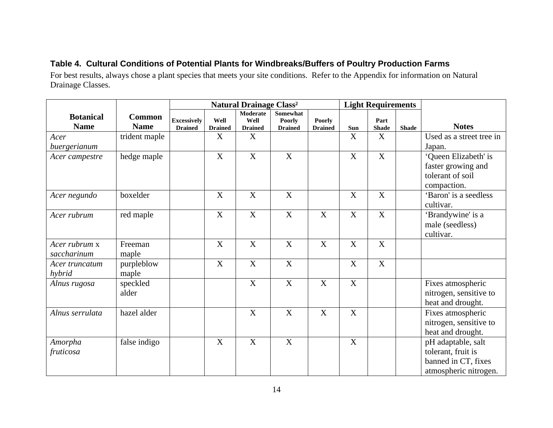# **Table 4. Cultural Conditions of Potential Plants for Windbreaks/Buffers of Poultry Production Farms**

For best results, always chose a plant species that meets your site conditions. Refer to the Appendix for information on Natural Drainage Classes.

|                          |                     |                                      |                        | <b>Natural Drainage Class<sup>2</sup></b> |                                 |                                 |                           | <b>Light Requirements</b> |              |                          |
|--------------------------|---------------------|--------------------------------------|------------------------|-------------------------------------------|---------------------------------|---------------------------------|---------------------------|---------------------------|--------------|--------------------------|
| <b>Botanical</b>         | <b>Common</b>       |                                      |                        | Moderate                                  | Somewhat                        |                                 |                           |                           |              |                          |
| <b>Name</b>              | <b>Name</b>         | <b>Excessively</b><br><b>Drained</b> | Well<br><b>Drained</b> | Well<br><b>Drained</b>                    | <b>Poorly</b><br><b>Drained</b> | <b>Poorly</b><br><b>Drained</b> | Sun                       | Part<br><b>Shade</b>      | <b>Shade</b> | <b>Notes</b>             |
| Acer                     | trident maple       |                                      | X                      | $\mathbf X$                               |                                 |                                 | X                         | $\mathbf X$               |              | Used as a street tree in |
| buergerianum             |                     |                                      |                        |                                           |                                 |                                 |                           |                           |              | Japan.                   |
| Acer campestre           | hedge maple         |                                      | X                      | X                                         | X                               |                                 | X                         | $\boldsymbol{\mathrm{X}}$ |              | 'Queen Elizabeth' is     |
|                          |                     |                                      |                        |                                           |                                 |                                 |                           |                           |              | faster growing and       |
|                          |                     |                                      |                        |                                           |                                 |                                 |                           |                           |              | tolerant of soil         |
|                          |                     |                                      |                        |                                           |                                 |                                 |                           |                           |              | compaction.              |
| Acer negundo             | boxelder            |                                      | X                      | $\mathbf X$                               | $\boldsymbol{\mathrm{X}}$       |                                 | X                         | $\boldsymbol{\mathrm{X}}$ |              | 'Baron' is a seedless    |
|                          |                     |                                      |                        |                                           |                                 |                                 |                           |                           |              | cultivar.                |
| Acer rubrum              | red maple           |                                      | X                      | $\boldsymbol{\mathrm{X}}$                 | $\boldsymbol{\mathrm{X}}$       | X                               | X                         | $\boldsymbol{X}$          |              | 'Brandywine' is a        |
|                          |                     |                                      |                        |                                           |                                 |                                 |                           |                           |              | male (seedless)          |
|                          |                     |                                      |                        |                                           |                                 |                                 |                           |                           |              | cultivar.                |
| Acer rubrum x            | Freeman             |                                      | X                      | $\overline{X}$                            | $\overline{X}$                  | X                               | $\overline{\text{X}}$     | $\overline{\text{X}}$     |              |                          |
| saccharinum              | maple               |                                      |                        |                                           |                                 |                                 |                           |                           |              |                          |
| Acer truncatum<br>hybrid | purpleblow<br>maple |                                      | X                      | $\boldsymbol{\mathrm{X}}$                 | X                               |                                 | X                         | $\boldsymbol{\mathrm{X}}$ |              |                          |
| Alnus rugosa             | speckled            |                                      |                        | $\boldsymbol{\mathrm{X}}$                 | $\overline{X}$                  | X                               | $\mathbf X$               |                           |              | Fixes atmospheric        |
|                          | alder               |                                      |                        |                                           |                                 |                                 |                           |                           |              | nitrogen, sensitive to   |
|                          |                     |                                      |                        |                                           |                                 |                                 |                           |                           |              | heat and drought.        |
| Alnus serrulata          | hazel alder         |                                      |                        | $\mathbf X$                               | X                               | X                               | $\boldsymbol{\mathrm{X}}$ |                           |              | Fixes atmospheric        |
|                          |                     |                                      |                        |                                           |                                 |                                 |                           |                           |              | nitrogen, sensitive to   |
|                          |                     |                                      |                        |                                           |                                 |                                 |                           |                           |              | heat and drought.        |
| Amorpha                  | false indigo        |                                      | $\boldsymbol{X}$       | X                                         | X                               |                                 | X                         |                           |              | pH adaptable, salt       |
| fruticosa                |                     |                                      |                        |                                           |                                 |                                 |                           |                           |              | tolerant, fruit is       |
|                          |                     |                                      |                        |                                           |                                 |                                 |                           |                           |              | banned in CT, fixes      |
|                          |                     |                                      |                        |                                           |                                 |                                 |                           |                           |              | atmospheric nitrogen.    |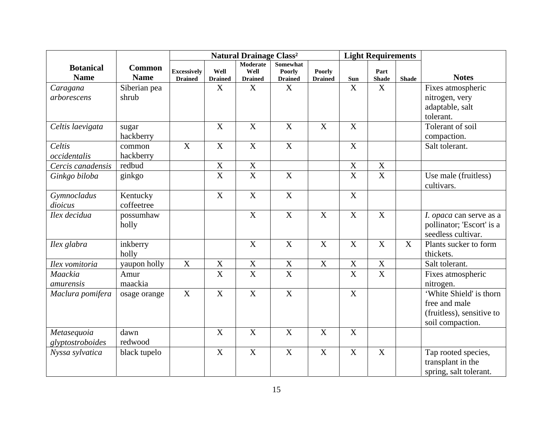|                                 |                              |                                      |                        | <b>Natural Drainage Class<sup>2</sup></b> |                                                    |                                 | <b>Light Requirements</b> |                         |              |                                                                                           |
|---------------------------------|------------------------------|--------------------------------------|------------------------|-------------------------------------------|----------------------------------------------------|---------------------------------|---------------------------|-------------------------|--------------|-------------------------------------------------------------------------------------------|
| <b>Botanical</b><br><b>Name</b> | <b>Common</b><br><b>Name</b> | <b>Excessively</b><br><b>Drained</b> | Well<br><b>Drained</b> | Moderate<br>Well<br><b>Drained</b>        | <b>Somewhat</b><br><b>Poorly</b><br><b>Drained</b> | <b>Poorly</b><br><b>Drained</b> | Sun                       | Part<br><b>Shade</b>    | <b>Shade</b> | <b>Notes</b>                                                                              |
| Caragana                        | Siberian pea                 |                                      | X                      | $\mathbf X$                               | X                                                  |                                 | X                         | X                       |              | Fixes atmospheric                                                                         |
| arborescens                     | shrub                        |                                      |                        |                                           |                                                    |                                 |                           |                         |              | nitrogen, very<br>adaptable, salt<br>tolerant.                                            |
| Celtis laevigata                | sugar<br>hackberry           |                                      | $\mathbf X$            | $\mathbf X$                               | $\mathbf X$                                        | $\mathbf X$                     | $\mathbf X$               |                         |              | Tolerant of soil<br>compaction.                                                           |
| Celtis<br>occidentalis          | common<br>hackberry          | $\mathbf X$                          | $\mathbf X$            | $\mathbf X$                               | $\mathbf X$                                        |                                 | $\mathbf X$               |                         |              | Salt tolerant.                                                                            |
| Cercis canadensis               | redbud                       |                                      | $\mathbf X$            | $\mathbf X$                               |                                                    |                                 | $\mathbf X$               | $\mathbf X$             |              |                                                                                           |
| Ginkgo biloba                   | ginkgo                       |                                      | $\overline{\text{X}}$  | $\overline{X}$                            | $\overline{X}$                                     |                                 | $\mathbf X$               | $\overline{\mathbf{X}}$ |              | Use male (fruitless)<br>cultivars.                                                        |
| Gymnocladus<br>dioicus          | Kentucky<br>coffeetree       |                                      | $\boldsymbol{X}$       | $\boldsymbol{X}$                          | $\overline{X}$                                     |                                 | $\mathbf X$               |                         |              |                                                                                           |
| Ilex decidua                    | possumhaw<br>holly           |                                      |                        | $\boldsymbol{X}$                          | $\boldsymbol{X}$                                   | $\mathbf X$                     | $\mathbf X$               | X                       |              | I. opaca can serve as a<br>pollinator; 'Escort' is a<br>seedless cultivar.                |
| Ilex glabra                     | inkberry<br>holly            |                                      |                        | $\mathbf X$                               | $\boldsymbol{X}$                                   | $\mathbf X$                     | $\mathbf X$               | $\mathbf X$             | $\mathbf X$  | Plants sucker to form<br>thickets.                                                        |
| Ilex vomitoria                  | yaupon holly                 | $\mathbf X$                          | $\mathbf X$            | $\mathbf X$                               | $\mathbf X$                                        | $\mathbf X$                     | $\mathbf X$               | $\overline{\mathbf{X}}$ |              | Salt tolerant.                                                                            |
| Maackia<br>amurensis            | Amur<br>maackia              |                                      | $\overline{X}$         | $\overline{\mathbf{X}}$                   | $\overline{\mathbf{X}}$                            |                                 | $\overline{X}$            | $\overline{\mathbf{X}}$ |              | Fixes atmospheric<br>nitrogen.                                                            |
| Maclura pomifera                | osage orange                 | X                                    | $\overline{X}$         | $\overline{X}$                            | $\overline{X}$                                     |                                 | $\overline{X}$            |                         |              | 'White Shield' is thorn<br>free and male<br>(fruitless), sensitive to<br>soil compaction. |
| Metasequoia<br>glyptostroboides | dawn<br>redwood              |                                      | X                      | $\boldsymbol{X}$                          | X                                                  | X                               | X                         |                         |              |                                                                                           |
| Nyssa sylvatica                 | black tupelo                 |                                      | $\mathbf X$            | $\overline{X}$                            | $\overline{X}$                                     | X                               | $\mathbf X$               | $\mathbf X$             |              | Tap rooted species,<br>transplant in the<br>spring, salt tolerant.                        |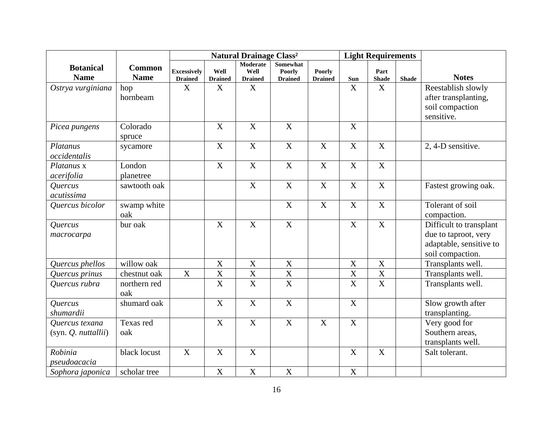|                                                   |                              |                                      |                           | <b>Natural Drainage Class<sup>2</sup></b> |                                             |                                 |                           | <b>Light Requirements</b> |              |                                                                                                |
|---------------------------------------------------|------------------------------|--------------------------------------|---------------------------|-------------------------------------------|---------------------------------------------|---------------------------------|---------------------------|---------------------------|--------------|------------------------------------------------------------------------------------------------|
| <b>Botanical</b><br><b>Name</b>                   | <b>Common</b><br><b>Name</b> | <b>Excessively</b><br><b>Drained</b> | Well<br><b>Drained</b>    | Moderate<br>Well<br><b>Drained</b>        | Somewhat<br><b>Poorly</b><br><b>Drained</b> | <b>Poorly</b><br><b>Drained</b> | Sun                       | Part<br><b>Shade</b>      | <b>Shade</b> | <b>Notes</b>                                                                                   |
| Ostrya vurginiana                                 | hop<br>hornbeam              | X                                    | X                         | $\mathbf X$                               |                                             |                                 | X                         | $\mathbf X$               |              | Reestablish slowly<br>after transplanting,<br>soil compaction<br>sensitive.                    |
| Picea pungens                                     | Colorado<br>spruce           |                                      | $\mathbf X$               | $\mathbf X$                               | $\overline{X}$                              |                                 | X                         |                           |              |                                                                                                |
| Platanus<br>occidentalis                          | sycamore                     |                                      | $\boldsymbol{\mathrm{X}}$ | $\overline{X}$                            | $\overline{X}$                              | X                               | $\mathbf X$               | X                         |              | 2, 4-D sensitive.                                                                              |
| Platanus x<br>acerifolia                          | London<br>planetree          |                                      | $\mathbf X$               | $\mathbf X$                               | $\boldsymbol{X}$                            | $\mathbf X$                     | X                         | $\mathbf X$               |              |                                                                                                |
| Quercus<br>acutissima                             | sawtooth oak                 |                                      |                           | $\boldsymbol{\mathrm{X}}$                 | $\boldsymbol{X}$                            | $\mathbf X$                     | $\mathbf X$               | $\mathbf X$               |              | Fastest growing oak.                                                                           |
| Quercus bicolor                                   | swamp white<br>oak           |                                      |                           |                                           | $\mathbf X$                                 | $\boldsymbol{\mathrm{X}}$       | X                         | $\mathbf X$               |              | Tolerant of soil<br>compaction.                                                                |
| Quercus<br>macrocarpa                             | bur oak                      |                                      | $\mathbf X$               | $\mathbf X$                               | $\mathbf X$                                 |                                 | $\mathbf X$               | X                         |              | Difficult to transplant<br>due to taproot, very<br>adaptable, sensitive to<br>soil compaction. |
| Quercus phellos                                   | willow oak                   |                                      | $\boldsymbol{\mathrm{X}}$ | $\mathbf X$                               | $\mathbf X$                                 |                                 | $\mathbf X$               | X                         |              | Transplants well.                                                                              |
| Quercus prinus                                    | chestnut oak                 | $\boldsymbol{\mathrm{X}}$            | $\overline{\mathbf{X}}$   | $\overline{\textbf{X}}$                   | $\overline{X}$                              |                                 | $\mathbf X$               | $\overline{\mathbf{X}}$   |              | Transplants well.                                                                              |
| Quercus rubra                                     | northern red<br>oak          |                                      | $\overline{\text{X}}$     | $\overline{\text{X}}$                     | $\overline{\mathbf{X}}$                     |                                 | $\overline{\mathbf{X}}$   | $\overline{\mathbf{X}}$   |              | Transplants well.                                                                              |
| Quercus<br>shumardii                              | shumard oak                  |                                      | $\overline{X}$            | $\overline{X}$                            | $\overline{X}$                              |                                 | $\mathbf X$               |                           |              | Slow growth after<br>transplanting.                                                            |
| Quercus texana<br>$(syn. Q.$ <i>nuttallii</i> $)$ | Texas red<br>oak             |                                      | $\mathbf X$               | $\mathbf X$                               | $\mathbf X$                                 | $\mathbf X$                     | $\mathbf X$               |                           |              | Very good for<br>Southern areas,<br>transplants well.                                          |
| Robinia<br>pseudoacacia                           | black locust                 | $\overline{X}$                       | $\mathbf X$               | $\overline{\mathbf{X}}$                   |                                             |                                 | $\boldsymbol{\mathrm{X}}$ | $\mathbf X$               |              | Salt tolerant.                                                                                 |
| Sophora japonica                                  | scholar tree                 |                                      | $\boldsymbol{\mathrm{X}}$ | $\overline{X}$                            | $\overline{X}$                              |                                 | $\mathbf X$               |                           |              |                                                                                                |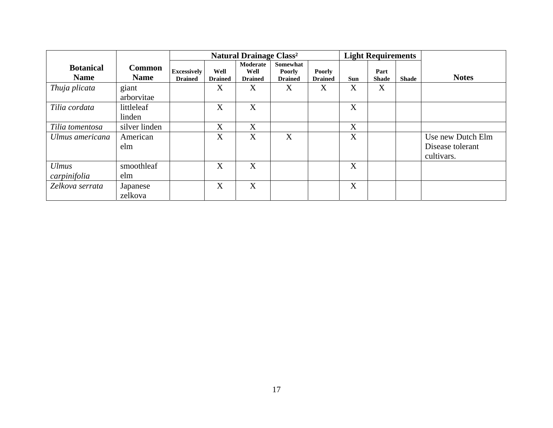|                                 |                       |                                      |                        | <b>Natural Drainage Class<sup>2</sup></b> |                                             |                                 | <b>Light Requirements</b> |                      |       |                   |
|---------------------------------|-----------------------|--------------------------------------|------------------------|-------------------------------------------|---------------------------------------------|---------------------------------|---------------------------|----------------------|-------|-------------------|
| <b>Botanical</b><br><b>Name</b> | Common<br><b>Name</b> | <b>Excessively</b><br><b>Drained</b> | Well<br><b>Drained</b> | Moderate<br>Well<br><b>Drained</b>        | Somewhat<br><b>Poorly</b><br><b>Drained</b> | <b>Poorly</b><br><b>Drained</b> | <b>Sun</b>                | Part<br><b>Shade</b> | Shade | <b>Notes</b>      |
| Thuja plicata                   | giant                 |                                      | X                      | X                                         | X                                           | X                               | X                         | X                    |       |                   |
|                                 | arborvitae            |                                      |                        |                                           |                                             |                                 |                           |                      |       |                   |
| Tilia cordata                   | littleleaf            |                                      | X                      | X                                         |                                             |                                 | X                         |                      |       |                   |
|                                 | linden                |                                      |                        |                                           |                                             |                                 |                           |                      |       |                   |
| Tilia tomentosa                 | silver linden         |                                      | X                      | X                                         |                                             |                                 | X                         |                      |       |                   |
| Ulmus americana                 | American              |                                      | X                      | X                                         | X                                           |                                 | X                         |                      |       | Use new Dutch Elm |
|                                 | elm                   |                                      |                        |                                           |                                             |                                 |                           |                      |       | Disease tolerant  |
|                                 |                       |                                      |                        |                                           |                                             |                                 |                           |                      |       | cultivars.        |
| <b>Ulmus</b>                    | smoothleaf            |                                      | X                      | X                                         |                                             |                                 | X                         |                      |       |                   |
| carpinifolia                    | elm                   |                                      |                        |                                           |                                             |                                 |                           |                      |       |                   |
| Zelkova serrata                 | Japanese              |                                      | X                      | X                                         |                                             |                                 | X                         |                      |       |                   |
|                                 | zelkova               |                                      |                        |                                           |                                             |                                 |                           |                      |       |                   |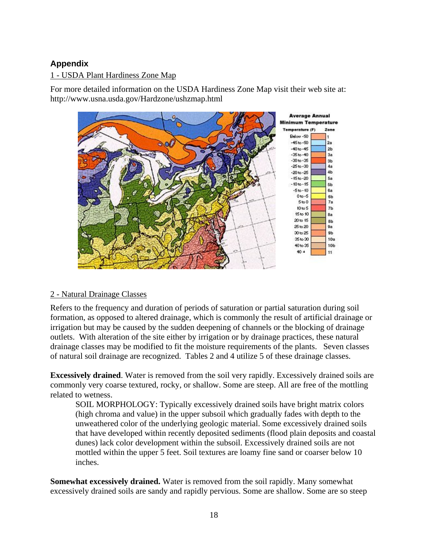# **Appendix**

## 1 - USDA Plant Hardiness Zone Map

For more detailed information on the USDA Hardiness Zone Map visit their web site at: http://www.usna.usda.gov/Hardzone/ushzmap.html



## 2 - Natural Drainage Classes

Refers to the frequency and duration of periods of saturation or partial saturation during soil formation, as opposed to altered drainage, which is commonly the result of artificial drainage or irrigation but may be caused by the sudden deepening of channels or the blocking of drainage outlets. With alteration of the site either by irrigation or by drainage practices, these natural drainage classes may be modified to fit the moisture requirements of the plants. Seven classes of natural soil drainage are recognized. Tables 2 and 4 utilize 5 of these drainage classes.

**Excessively drained**. Water is removed from the soil very rapidly. Excessively drained soils are commonly very coarse textured, rocky, or shallow. Some are steep. All are free of the mottling related to wetness.

SOIL MORPHOLOGY: Typically excessively drained soils have bright matrix colors (high chroma and value) in the upper subsoil which gradually fades with depth to the unweathered color of the underlying geologic material. Some excessively drained soils that have developed within recently deposited sediments (flood plain deposits and coastal dunes) lack color development within the subsoil. Excessively drained soils are not mottled within the upper 5 feet. Soil textures are loamy fine sand or coarser below 10 inches.

**Somewhat excessively drained.** Water is removed from the soil rapidly. Many somewhat excessively drained soils are sandy and rapidly pervious. Some are shallow. Some are so steep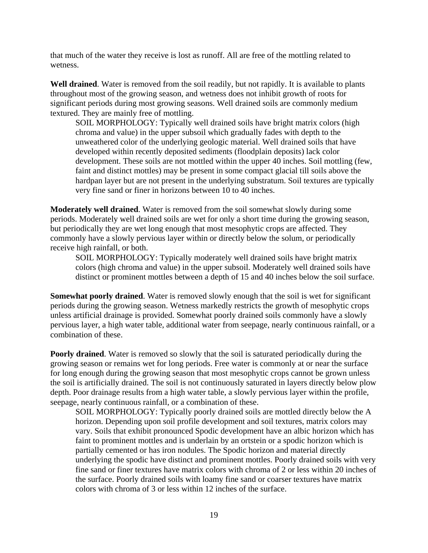that much of the water they receive is lost as runoff. All are free of the mottling related to wetness.

**Well drained**. Water is removed from the soil readily, but not rapidly. It is available to plants throughout most of the growing season, and wetness does not inhibit growth of roots for significant periods during most growing seasons. Well drained soils are commonly medium textured. They are mainly free of mottling.

SOIL MORPHOLOGY: Typically well drained soils have bright matrix colors (high chroma and value) in the upper subsoil which gradually fades with depth to the unweathered color of the underlying geologic material. Well drained soils that have developed within recently deposited sediments (floodplain deposits) lack color development. These soils are not mottled within the upper 40 inches. Soil mottling (few, faint and distinct mottles) may be present in some compact glacial till soils above the hardpan layer but are not present in the underlying substratum. Soil textures are typically very fine sand or finer in horizons between 10 to 40 inches.

**Moderately well drained**. Water is removed from the soil somewhat slowly during some periods. Moderately well drained soils are wet for only a short time during the growing season, but periodically they are wet long enough that most mesophytic crops are affected. They commonly have a slowly pervious layer within or directly below the solum, or periodically receive high rainfall, or both.

SOIL MORPHOLOGY: Typically moderately well drained soils have bright matrix colors (high chroma and value) in the upper subsoil. Moderately well drained soils have distinct or prominent mottles between a depth of 15 and 40 inches below the soil surface.

**Somewhat poorly drained**. Water is removed slowly enough that the soil is wet for significant periods during the growing season. Wetness markedly restricts the growth of mesophytic crops unless artificial drainage is provided. Somewhat poorly drained soils commonly have a slowly pervious layer, a high water table, additional water from seepage, nearly continuous rainfall, or a combination of these.

**Poorly drained.** Water is removed so slowly that the soil is saturated periodically during the growing season or remains wet for long periods. Free water is commonly at or near the surface for long enough during the growing season that most mesophytic crops cannot be grown unless the soil is artificially drained. The soil is not continuously saturated in layers directly below plow depth. Poor drainage results from a high water table, a slowly pervious layer within the profile, seepage, nearly continuous rainfall, or a combination of these.

SOIL MORPHOLOGY: Typically poorly drained soils are mottled directly below the A horizon. Depending upon soil profile development and soil textures, matrix colors may vary. Soils that exhibit pronounced Spodic development have an albic horizon which has faint to prominent mottles and is underlain by an ortstein or a spodic horizon which is partially cemented or has iron nodules. The Spodic horizon and material directly underlying the spodic have distinct and prominent mottles. Poorly drained soils with very fine sand or finer textures have matrix colors with chroma of 2 or less within 20 inches of the surface. Poorly drained soils with loamy fine sand or coarser textures have matrix colors with chroma of 3 or less within 12 inches of the surface.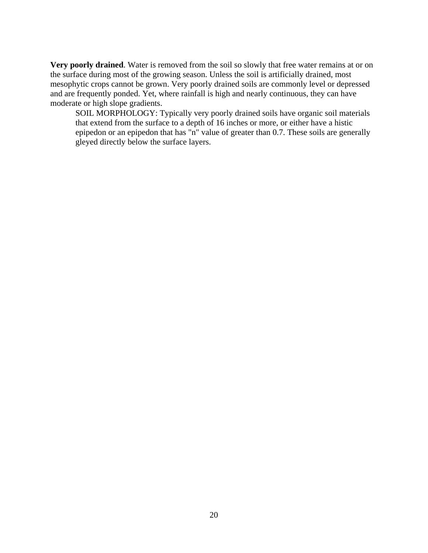**Very poorly drained**. Water is removed from the soil so slowly that free water remains at or on the surface during most of the growing season. Unless the soil is artificially drained, most mesophytic crops cannot be grown. Very poorly drained soils are commonly level or depressed and are frequently ponded. Yet, where rainfall is high and nearly continuous, they can have moderate or high slope gradients.

SOIL MORPHOLOGY: Typically very poorly drained soils have organic soil materials that extend from the surface to a depth of 16 inches or more, or either have a histic epipedon or an epipedon that has "n" value of greater than 0.7. These soils are generally gleyed directly below the surface layers.